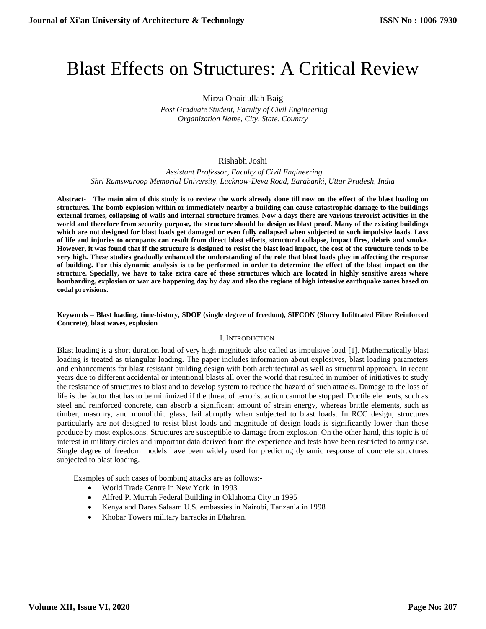# Blast Effects on Structures: A Critical Review

# Mirza Obaidullah Baig  *Post Graduate Student, Faculty of Civil Engineering Organization Name, City, State, Country*

# Rishabh Joshi

 *Assistant Professor, Faculty of Civil Engineering Shri Ramswaroop Memorial University, Lucknow-Deva Road, Barabanki, Uttar Pradesh, India*

**Abstract- The main aim of this study is to review the work already done till now on the effect of the blast loading on structures. The bomb explosion within or immediately nearby a building can cause catastrophic damage to the buildings external frames, collapsing of walls and internal structure frames. Now a days there are various terrorist activities in the world and therefore from security purpose, the structure should be design as blast proof. Many of the existing buildings which are not designed for blast loads get damaged or even fully collapsed when subjected to such impulsive loads. Loss of life and injuries to occupants can result from direct blast effects, structural collapse, impact fires, debris and smoke. However, it was found that if the structure is designed to resist the blast load impact, the cost of the structure tends to be very high. These studies gradually enhanced the understanding of the role that blast loads play in affecting the response of building. For this dynamic analysis is to be performed in order to determine the effect of the blast impact on the structure. Specially, we have to take extra care of those structures which are located in highly sensitive areas where bombarding, explosion or war are happening day by day and also the regions of high intensive earthquake zones based on codal provisions.**

#### **Keywords – Blast loading, time-history, SDOF (single degree of freedom), SIFCON (Slurry Infiltrated Fibre Reinforced Concrete), blast waves, explosion**

# I. INTRODUCTION

Blast loading is a short duration load of very high magnitude also called as impulsive load [1]. Mathematically blast loading is treated as triangular loading. The paper includes information about explosives, blast loading parameters and enhancements for blast resistant building design with both architectural as well as structural approach. In recent years due to different accidental or intentional blasts all over the world that resulted in number of initiatives to study the resistance of structures to blast and to develop system to reduce the hazard of such attacks. Damage to the loss of life is the factor that has to be minimized if the threat of terrorist action cannot be stopped. Ductile elements, such as steel and reinforced concrete, can absorb a significant amount of strain energy, whereas brittle elements, such as timber, masonry, and monolithic glass, fail abruptly when subjected to blast loads. In RCC design, structures particularly are not designed to resist blast loads and magnitude of design loads is significantly lower than those produce by most explosions. Structures are susceptible to damage from explosion. On the other hand, this topic is of interest in military circles and important data derived from the experience and tests have been restricted to army use. Single degree of freedom models have been widely used for predicting dynamic response of concrete structures subjected to blast loading.

Examples of such cases of bombing attacks are as follows:-

- World Trade Centre in New York in 1993
- Alfred P. Murrah Federal Building in Oklahoma City in 1995
- Kenya and Dares Salaam U.S. embassies in Nairobi, Tanzania in 1998
- Khobar Towers military barracks in Dhahran.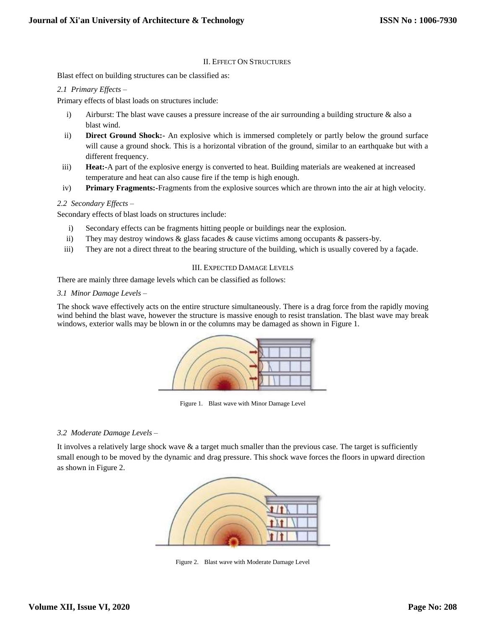# II. EFFECT ON STRUCTURES

Blast effect on building structures can be classified as:

# *2.1 Primary Effects –*

Primary effects of blast loads on structures include:

- i) Airburst: The blast wave causes a pressure increase of the air surrounding a building structure & also a blast wind.
- ii) **Direct Ground Shock:-** An explosive which is immersed completely or partly below the ground surface will cause a ground shock. This is a horizontal vibration of the ground, similar to an earthquake but with a different frequency.
- iii) **Heat:-**A part of the explosive energy is converted to heat. Building materials are weakened at increased temperature and heat can also cause fire if the temp is high enough.
- iv) **Primary Fragments:-**Fragments from the explosive sources which are thrown into the air at high velocity.

#### *2.2 Secondary Effects –*

Secondary effects of blast loads on structures include:

- i) Secondary effects can be fragments hitting people or buildings near the explosion.
- ii) They may destroy windows & glass facades & cause victims among occupants & passers-by.
- iii) They are not a direct threat to the bearing structure of the building, which is usually covered by a façade.

#### III. EXPECTED DAMAGE LEVELS

There are mainly three damage levels which can be classified as follows:

#### *3.1 Minor Damage Levels –*

The shock wave effectively acts on the entire structure simultaneously. There is a drag force from the rapidly moving wind behind the blast wave, however the structure is massive enough to resist translation. The blast wave may break windows, exterior walls may be blown in or the columns may be damaged as shown in Figure 1.



Figure 1. Blast wave with Minor Damage Level

# *3.2 Moderate Damage Levels –*

It involves a relatively large shock wave  $\&$  a target much smaller than the previous case. The target is sufficiently small enough to be moved by the dynamic and drag pressure. This shock wave forces the floors in upward direction as shown in Figure 2.



Figure 2. Blast wave with Moderate Damage Level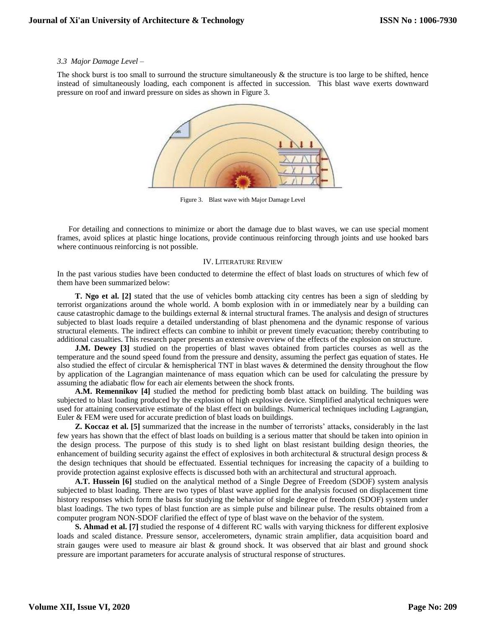#### *3.3 Major Damage Level –*

The shock burst is too small to surround the structure simultaneously  $\&$  the structure is too large to be shifted, hence instead of simultaneously loading, each component is affected in succession. This blast wave exerts downward pressure on roof and inward pressure on sides as shown in Figure 3.



Figure 3. Blast wave with Major Damage Level

For detailing and connections to minimize or abort the damage due to blast waves, we can use special moment frames, avoid splices at plastic hinge locations, provide continuous reinforcing through joints and use hooked bars where continuous reinforcing is not possible.

# IV. LITERATURE REVIEW

In the past various studies have been conducted to determine the effect of blast loads on structures of which few of them have been summarized below:

**T. Ngo et al. [2]** stated that the use of vehicles bomb attacking city centres has been a sign of sledding by terrorist organizations around the whole world. A bomb explosion with in or immediately near by a building can cause catastrophic damage to the buildings external & internal structural frames. The analysis and design of structures subjected to blast loads require a detailed understanding of blast phenomena and the dynamic response of various structural elements. The indirect effects can combine to inhibit or prevent timely evacuation; thereby contributing to additional casualties. This research paper presents an extensive overview of the effects of the explosion on structure.

**J.M. Dewey** [3] studied on the properties of blast waves obtained from particles courses as well as the temperature and the sound speed found from the pressure and density, assuming the perfect gas equation of states. He also studied the effect of circular & hemispherical TNT in blast waves & determined the density throughout the flow by application of the Lagrangian maintenance of mass equation which can be used for calculating the pressure by assuming the adiabatic flow for each air elements between the shock fronts.

**A.M. Remennikov [4]** studied the method for predicting bomb blast attack on building. The building was subjected to blast loading produced by the explosion of high explosive device. Simplified analytical techniques were used for attaining conservative estimate of the blast effect on buildings. Numerical techniques including Lagrangian, Euler & FEM were used for accurate prediction of blast loads on buildings.

**Z. Koccaz et al. [5]** summarized that the increase in the number of terrorists' attacks, considerably in the last few years has shown that the effect of blast loads on building is a serious matter that should be taken into opinion in the design process. The purpose of this study is to shed light on blast resistant building design theories, the enhancement of building security against the effect of explosives in both architectural  $\&$  structural design process  $\&$ the design techniques that should be effectuated. Essential techniques for increasing the capacity of a building to provide protection against explosive effects is discussed both with an architectural and structural approach.

**A.T. Hussein [6]** studied on the analytical method of a Single Degree of Freedom (SDOF) system analysis subjected to blast loading. There are two types of blast wave applied for the analysis focused on displacement time history responses which form the basis for studying the behavior of single degree of freedom (SDOF) system under blast loadings. The two types of blast function are as simple pulse and bilinear pulse. The results obtained from a computer program NON-SDOF clarified the effect of type of blast wave on the behavior of the system.

**S. Ahmad et al. [7]** studied the response of 4 different RC walls with varying thickness for different explosive loads and scaled distance. Pressure sensor, accelerometers, dynamic strain amplifier, data acquisition board and strain gauges were used to measure air blast & ground shock. It was observed that air blast and ground shock pressure are important parameters for accurate analysis of structural response of structures.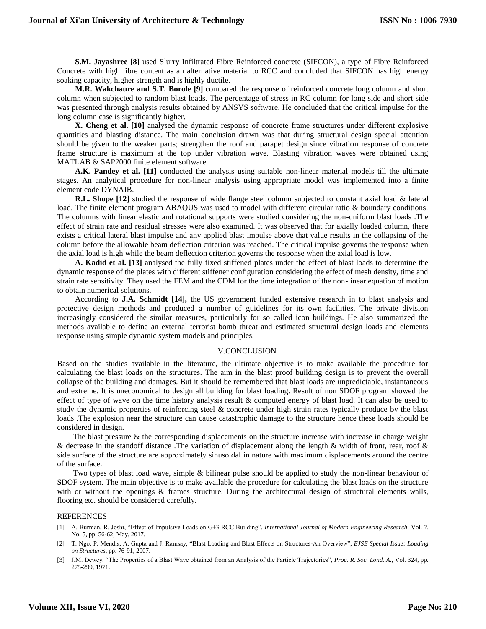**S.M. Jayashree [8]** used Slurry Infiltrated Fibre Reinforced concrete (SIFCON), a type of Fibre Reinforced Concrete with high fibre content as an alternative material to RCC and concluded that SIFCON has high energy soaking capacity, higher strength and is highly ductile.

**M.R. Wakchaure and S.T. Borole [9]** compared the response of reinforced concrete long column and short column when subjected to random blast loads. The percentage of stress in RC column for long side and short side was presented through analysis results obtained by ANSYS software. He concluded that the critical impulse for the long column case is significantly higher.

**X. Cheng et al. [10]** analysed the dynamic response of concrete frame structures under different explosive quantities and blasting distance. The main conclusion drawn was that during structural design special attention should be given to the weaker parts; strengthen the roof and parapet design since vibration response of concrete frame structure is maximum at the top under vibration wave. Blasting vibration waves were obtained using MATLAB & SAP2000 finite element software.

**A.K. Pandey et al.** [11] conducted the analysis using suitable non-linear material models till the ultimate stages. An analytical procedure for non-linear analysis using appropriate model was implemented into a finite element code DYNAIB.

**R.L. Shope [12]** studied the response of wide flange steel column subjected to constant axial load & lateral load. The finite element program ABAQUS was used to model with different circular ratio & boundary conditions. The columns with linear elastic and rotational supports were studied considering the non-uniform blast loads .The effect of strain rate and residual stresses were also examined. It was observed that for axially loaded column, there exists a critical lateral blast impulse and any applied blast impulse above that value results in the collapsing of the column before the allowable beam deflection criterion was reached. The critical impulse governs the response when the axial load is high while the beam deflection criterion governs the response when the axial load is low.

**A. Kadid et al. [13]** analysed the fully fixed stiffened plates under the effect of blast loads to determine the dynamic response of the plates with different stiffener configuration considering the effect of mesh density, time and strain rate sensitivity. They used the FEM and the CDM for the time integration of the non-linear equation of motion to obtain numerical solutions.

According to **J.A. Schmidt [14],** the US government funded extensive research in to blast analysis and protective design methods and produced a number of guidelines for its own facilities. The private division increasingly considered the similar measures, particularly for so called icon buildings. He also summarized the methods available to define an external terrorist bomb threat and estimated structural design loads and elements response using simple dynamic system models and principles.

#### V.CONCLUSION

Based on the studies available in the literature, the ultimate objective is to make available the procedure for calculating the blast loads on the structures. The aim in the blast proof building design is to prevent the overall collapse of the building and damages. But it should be remembered that blast loads are unpredictable, instantaneous and extreme. It is uneconomical to design all building for blast loading. Result of non SDOF program showed the effect of type of wave on the time history analysis result  $\&$  computed energy of blast load. It can also be used to study the dynamic properties of reinforcing steel & concrete under high strain rates typically produce by the blast loads .The explosion near the structure can cause catastrophic damage to the structure hence these loads should be considered in design.

 The blast pressure & the corresponding displacements on the structure increase with increase in charge weight & decrease in the standoff distance .The variation of displacement along the length & width of front, rear, roof & side surface of the structure are approximately sinusoidal in nature with maximum displacements around the centre of the surface.

 Two types of blast load wave, simple & bilinear pulse should be applied to study the non-linear behaviour of SDOF system. The main objective is to make available the procedure for calculating the blast loads on the structure with or without the openings & frames structure. During the architectural design of structural elements walls, flooring etc. should be considered carefully.

#### REFERENCES

- [1] A. Burman, R. Joshi, "Effect of Impulsive Loads on G+3 RCC Building", *International Journal of Modern Engineering Research,* Vol. 7, No. 5, pp. 56-62, May, 2017.
- [2] T. Ngo, P. Mendis, A. Gupta and J. Ramsay, "Blast Loading and Blast Effects on Structures-An Overview", *EJSE Special Issue: Loading on Structures*, pp. 76-91, 2007.
- [3] J.M. Dewey, "The Properties of a Blast Wave obtained from an Analysis of the Particle Trajectories", *Proc. R. Soc. Lond. A.*, Vol. 324, pp. 275-299, 1971.